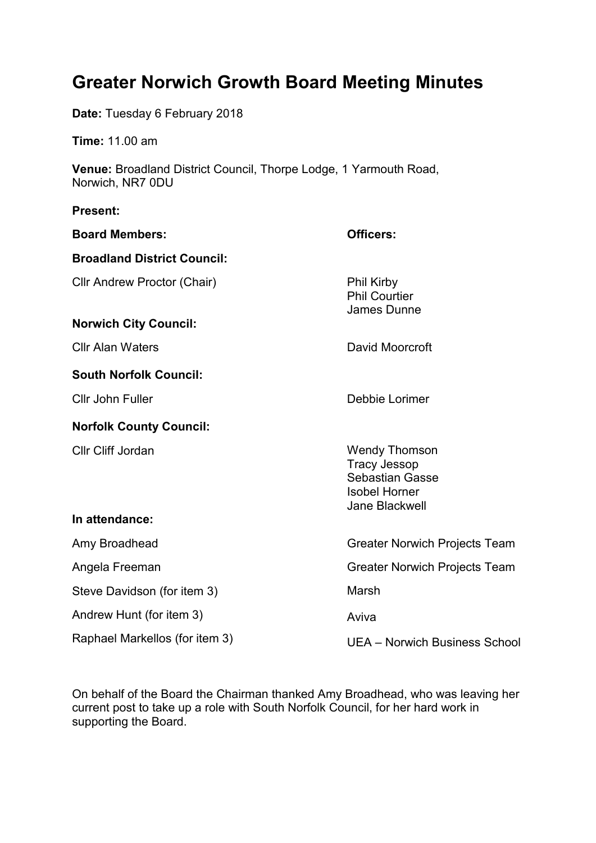# **Greater Norwich Growth Board Meeting Minutes**

**Date:** Tuesday 6 February 2018

**Time:** 11.00 am

**Venue:** Broadland District Council, Thorpe Lodge, 1 Yarmouth Road, Norwich, NR7 0DU

## **Present: Board Members: Officers: Broadland District Council:** Cllr Andrew Proctor (Chair) Phil Kirby Phil Courtier James Dunne **Norwich City Council:** Cllr Alan Waters David Moorcroft **South Norfolk Council:** Cllr John Fuller **Debbie Lorimer Norfolk County Council:** Cllr Cliff Jordan Wendy Thomson Tracy Jessop Sebastian Gasse Isobel Horner Jane Blackwell **In attendance:** Amy Broadhead Angela Freeman Steve Davidson (for item 3) Andrew Hunt (for item 3) Raphael Markellos (for item 3) Greater Norwich Projects Team Greater Norwich Projects Team Marsh Aviva UEA – Norwich Business School

On behalf of the Board the Chairman thanked Amy Broadhead, who was leaving her current post to take up a role with South Norfolk Council, for her hard work in supporting the Board.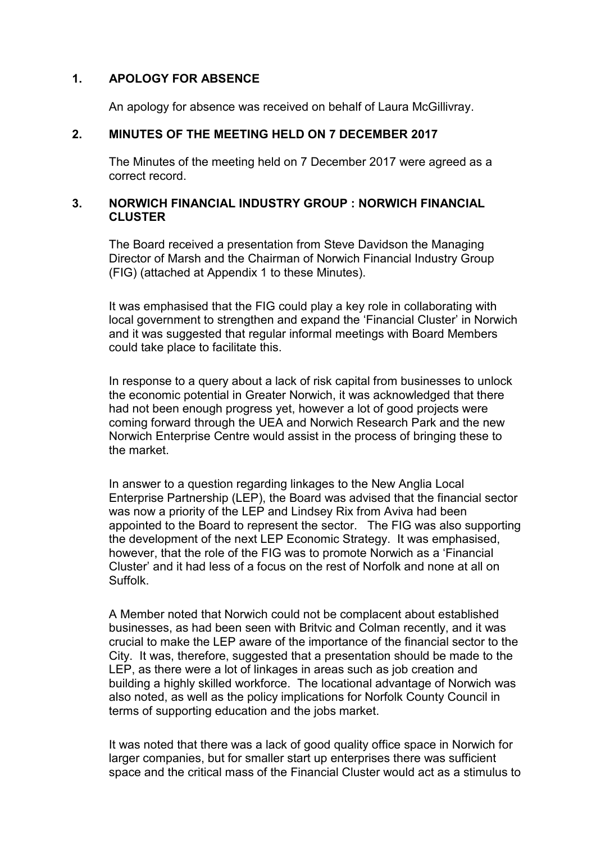#### **1. APOLOGY FOR ABSENCE**

An apology for absence was received on behalf of Laura McGillivray.

#### **2. MINUTES OF THE MEETING HELD ON 7 DECEMBER 2017**

The Minutes of the meeting held on 7 December 2017 were agreed as a correct record.

#### **3. NORWICH FINANCIAL INDUSTRY GROUP : NORWICH FINANCIAL CLUSTER**

The Board received a presentation from Steve Davidson the Managing Director of Marsh and the Chairman of Norwich Financial Industry Group (FIG) (attached at Appendix 1 to these Minutes).

It was emphasised that the FIG could play a key role in collaborating with local government to strengthen and expand the 'Financial Cluster' in Norwich and it was suggested that regular informal meetings with Board Members could take place to facilitate this.

In response to a query about a lack of risk capital from businesses to unlock the economic potential in Greater Norwich, it was acknowledged that there had not been enough progress yet, however a lot of good projects were coming forward through the UEA and Norwich Research Park and the new Norwich Enterprise Centre would assist in the process of bringing these to the market.

In answer to a question regarding linkages to the New Anglia Local Enterprise Partnership (LEP), the Board was advised that the financial sector was now a priority of the LEP and Lindsey Rix from Aviva had been appointed to the Board to represent the sector. The FIG was also supporting the development of the next LEP Economic Strategy. It was emphasised, however, that the role of the FIG was to promote Norwich as a 'Financial Cluster' and it had less of a focus on the rest of Norfolk and none at all on Suffolk.

A Member noted that Norwich could not be complacent about established businesses, as had been seen with Britvic and Colman recently, and it was crucial to make the LEP aware of the importance of the financial sector to the City. It was, therefore, suggested that a presentation should be made to the LEP, as there were a lot of linkages in areas such as job creation and building a highly skilled workforce. The locational advantage of Norwich was also noted, as well as the policy implications for Norfolk County Council in terms of supporting education and the jobs market.

It was noted that there was a lack of good quality office space in Norwich for larger companies, but for smaller start up enterprises there was sufficient space and the critical mass of the Financial Cluster would act as a stimulus to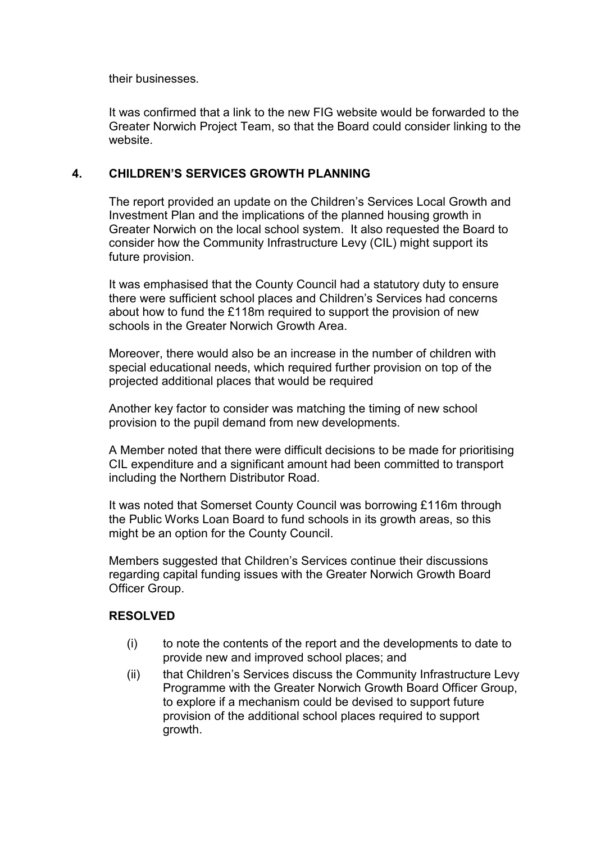their businesses.

It was confirmed that a link to the new FIG website would be forwarded to the Greater Norwich Project Team, so that the Board could consider linking to the website.

#### **4. CHILDREN'S SERVICES GROWTH PLANNING**

The report provided an update on the Children's Services Local Growth and Investment Plan and the implications of the planned housing growth in Greater Norwich on the local school system. It also requested the Board to consider how the Community Infrastructure Levy (CIL) might support its future provision.

It was emphasised that the County Council had a statutory duty to ensure there were sufficient school places and Children's Services had concerns about how to fund the £118m required to support the provision of new schools in the Greater Norwich Growth Area.

Moreover, there would also be an increase in the number of children with special educational needs, which required further provision on top of the projected additional places that would be required

Another key factor to consider was matching the timing of new school provision to the pupil demand from new developments.

A Member noted that there were difficult decisions to be made for prioritising CIL expenditure and a significant amount had been committed to transport including the Northern Distributor Road.

It was noted that Somerset County Council was borrowing £116m through the Public Works Loan Board to fund schools in its growth areas, so this might be an option for the County Council.

Members suggested that Children's Services continue their discussions regarding capital funding issues with the Greater Norwich Growth Board Officer Group.

#### **RESOLVED**

- (i) to note the contents of the report and the developments to date to provide new and improved school places; and
- (ii) that Children's Services discuss the Community Infrastructure Levy Programme with the Greater Norwich Growth Board Officer Group, to explore if a mechanism could be devised to support future provision of the additional school places required to support growth.